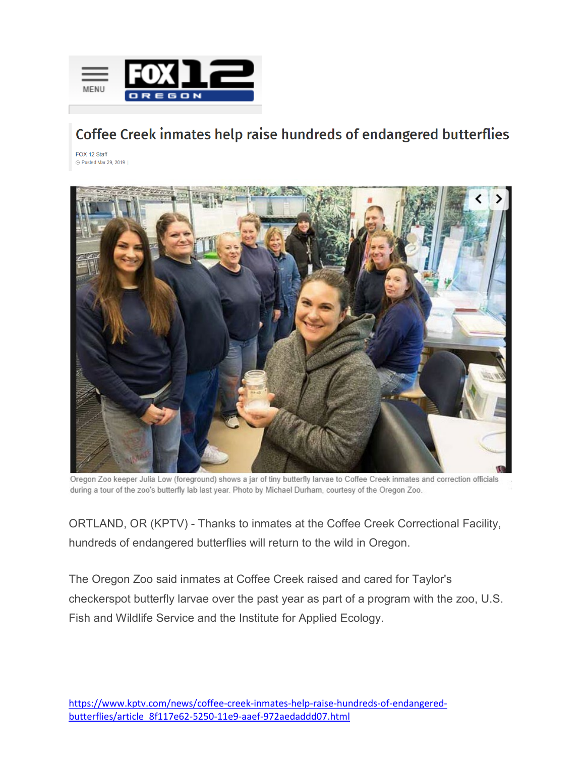

## Coffee Creek inmates help raise hundreds of endangered butterflies

FOX 12 Staff ⊙ Posted Mar 29, 2019 |



Oregon Zoo keeper Julia Low (foreground) shows a jar of tiny butterfly larvae to Coffee Creek inmates and correction officials during a tour of the zoo's butterfly lab last year. Photo by Michael Durham, courtesy of the Oregon Zoo.

ORTLAND, OR (KPTV) - Thanks to inmates at the Coffee Creek Correctional Facility, hundreds of endangered butterflies will return to the wild in Oregon.

The Oregon Zoo said inmates at Coffee Creek raised and cared for Taylor's checkerspot butterfly larvae over the past year as part of a program with the zoo, U.S. Fish and Wildlife Service and the Institute for Applied Ecology.